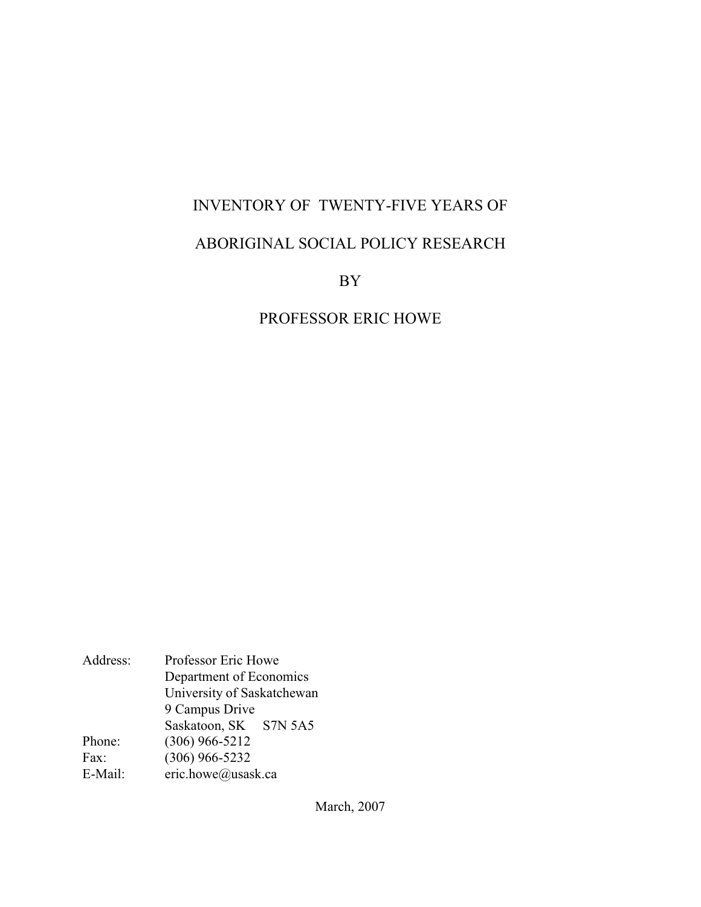## INVENTORY OF TWENTY-FIVE YEARS OF

## ABORIGINAL SOCIAL POLICY RESEARCH

BY

## PROFESSOR ERIC HOWE

Address: Professor Eric Howe Department of Economics University of Saskatchewan 9 Campus Drive Saskatoon, SK S7N 5A5 Phone: (306) 966-5212 Fax: (306) 966-5232 E-Mail: eric.howe@usask.ca

March, 2007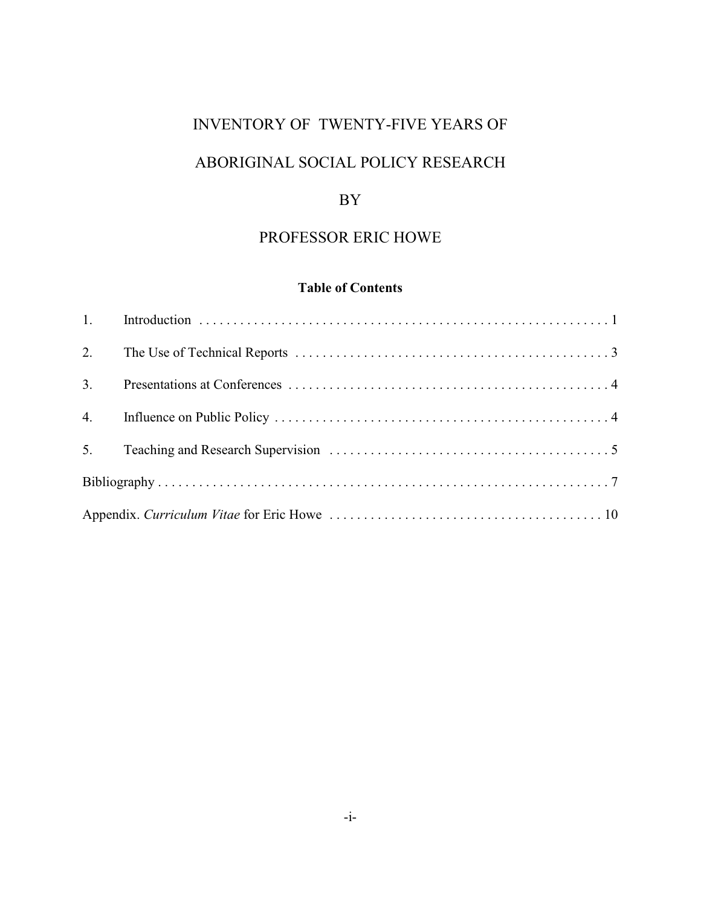## INVENTORY OF TWENTY-FIVE YEARS OF

# ABORIGINAL SOCIAL POLICY RESEARCH

## BY

## PROFESSOR ERIC HOWE

## **Table of Contents**

| 3. |  |
|----|--|
|    |  |
|    |  |
|    |  |
|    |  |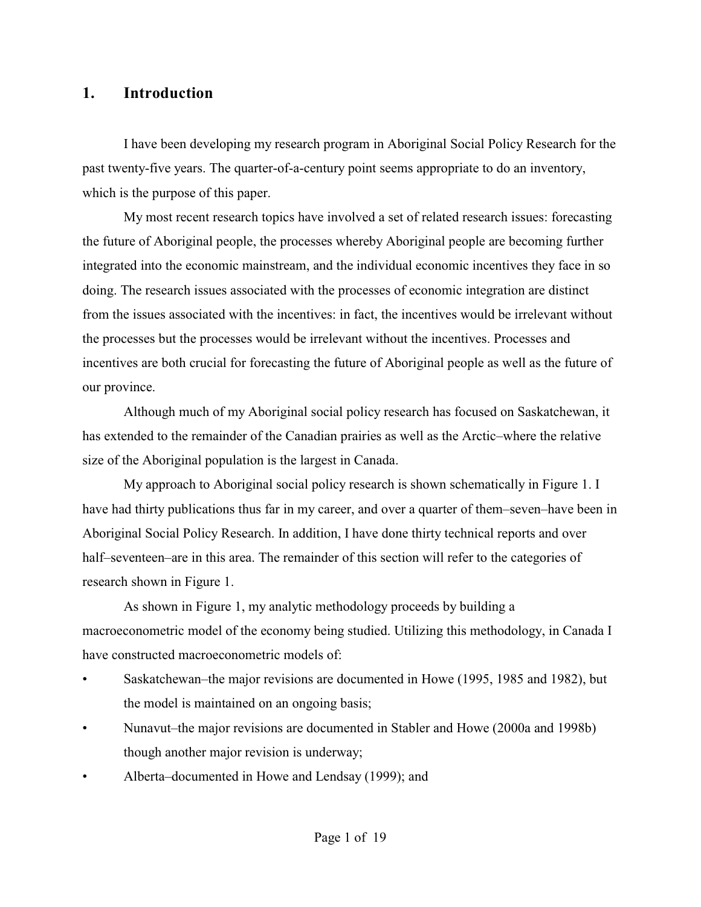## **1. Introduction**

I have been developing my research program in Aboriginal Social Policy Research for the past twenty-five years. The quarter-of-a-century point seems appropriate to do an inventory, which is the purpose of this paper.

My most recent research topics have involved a set of related research issues: forecasting the future of Aboriginal people, the processes whereby Aboriginal people are becoming further integrated into the economic mainstream, and the individual economic incentives they face in so doing. The research issues associated with the processes of economic integration are distinct from the issues associated with the incentives: in fact, the incentives would be irrelevant without the processes but the processes would be irrelevant without the incentives. Processes and incentives are both crucial for forecasting the future of Aboriginal people as well as the future of our province.

Although much of my Aboriginal social policy research has focused on Saskatchewan, it has extended to the remainder of the Canadian prairies as well as the Arctic–where the relative size of the Aboriginal population is the largest in Canada.

My approach to Aboriginal social policy research is shown schematically in Figure 1. I have had thirty publications thus far in my career, and over a quarter of them–seven–have been in Aboriginal Social Policy Research. In addition, I have done thirty technical reports and over half–seventeen–are in this area. The remainder of this section will refer to the categories of research shown in Figure 1.

As shown in Figure 1, my analytic methodology proceeds by building a macroeconometric model of the economy being studied. Utilizing this methodology, in Canada I have constructed macroeconometric models of:

- Saskatchewan–the major revisions are documented in Howe (1995, 1985 and 1982), but the model is maintained on an ongoing basis;
- Nunavut–the major revisions are documented in Stabler and Howe (2000a and 1998b) though another major revision is underway;
- Alberta–documented in Howe and Lendsay (1999); and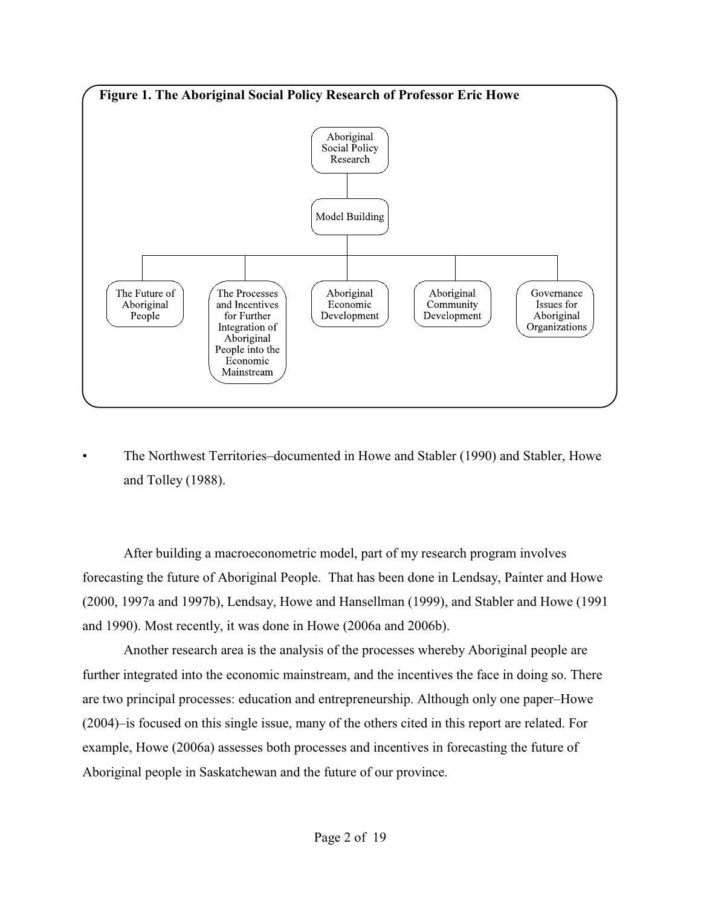

• The Northwest Territories–documented in Howe and Stabler (1990) and Stabler, Howe and Tolley (1988).

After building a macroeconometric model, part of my research program involves forecasting the future of Aboriginal People. That has been done in Lendsay, Painter and Howe (2000, 1997a and 1997b), Lendsay, Howe and Hansellman (1999), and Stabler and Howe (1991 and 1990). Most recently, it was done in Howe (2006a and 2006b).

Another research area is the analysis of the processes whereby Aboriginal people are further integrated into the economic mainstream, and the incentives the face in doing so. There are two principal processes: education and entrepreneurship. Although only one paper–Howe (2004)–is focused on this single issue, many of the others cited in this report are related. For example, Howe (2006a) assesses both processes and incentives in forecasting the future of Aboriginal people in Saskatchewan and the future of our province.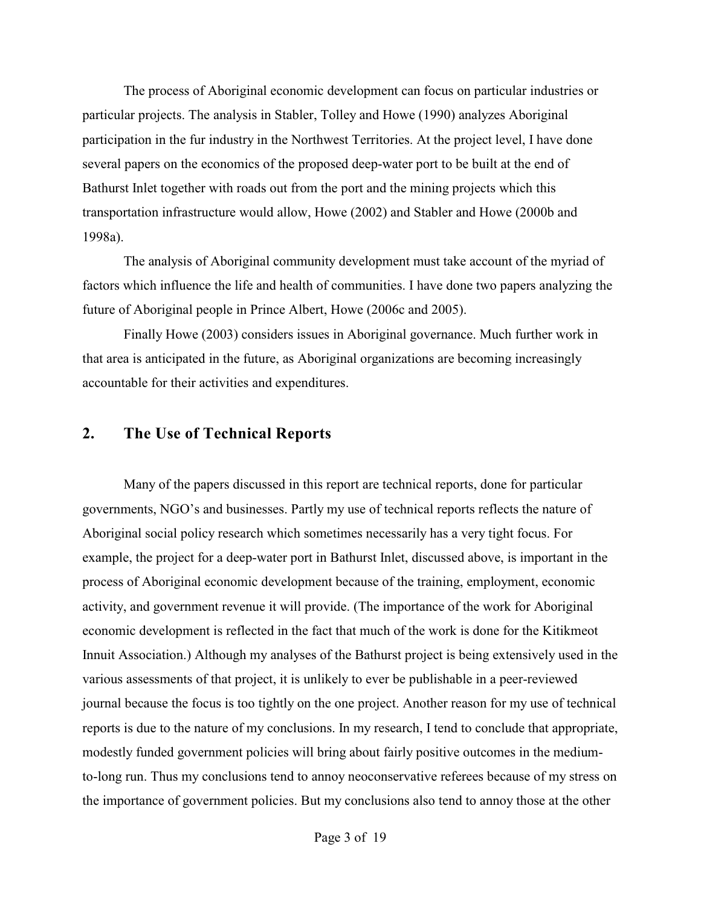The process of Aboriginal economic development can focus on particular industries or particular projects. The analysis in Stabler, Tolley and Howe (1990) analyzes Aboriginal participation in the fur industry in the Northwest Territories. At the project level, I have done several papers on the economics of the proposed deep-water port to be built at the end of Bathurst Inlet together with roads out from the port and the mining projects which this transportation infrastructure would allow, Howe (2002) and Stabler and Howe (2000b and 1998a).

The analysis of Aboriginal community development must take account of the myriad of factors which influence the life and health of communities. I have done two papers analyzing the future of Aboriginal people in Prince Albert, Howe (2006c and 2005).

Finally Howe (2003) considers issues in Aboriginal governance. Much further work in that area is anticipated in the future, as Aboriginal organizations are becoming increasingly accountable for their activities and expenditures.

## **2. The Use of Technical Reports**

Many of the papers discussed in this report are technical reports, done for particular governments, NGO's and businesses. Partly my use of technical reports reflects the nature of Aboriginal social policy research which sometimes necessarily has a very tight focus. For example, the project for a deep-water port in Bathurst Inlet, discussed above, is important in the process of Aboriginal economic development because of the training, employment, economic activity, and government revenue it will provide. (The importance of the work for Aboriginal economic development is reflected in the fact that much of the work is done for the Kitikmeot Innuit Association.) Although my analyses of the Bathurst project is being extensively used in the various assessments of that project, it is unlikely to ever be publishable in a peer-reviewed journal because the focus is too tightly on the one project. Another reason for my use of technical reports is due to the nature of my conclusions. In my research, I tend to conclude that appropriate, modestly funded government policies will bring about fairly positive outcomes in the mediumto-long run. Thus my conclusions tend to annoy neoconservative referees because of my stress on the importance of government policies. But my conclusions also tend to annoy those at the other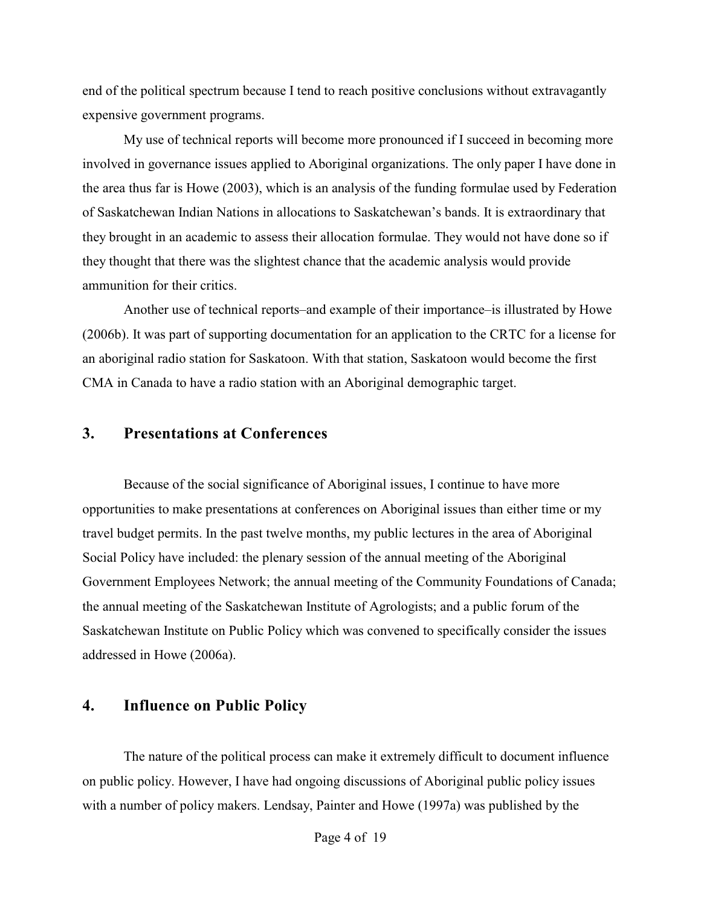end of the political spectrum because I tend to reach positive conclusions without extravagantly expensive government programs.

My use of technical reports will become more pronounced if I succeed in becoming more involved in governance issues applied to Aboriginal organizations. The only paper I have done in the area thus far is Howe (2003), which is an analysis of the funding formulae used by Federation of Saskatchewan Indian Nations in allocations to Saskatchewan's bands. It is extraordinary that they brought in an academic to assess their allocation formulae. They would not have done so if they thought that there was the slightest chance that the academic analysis would provide ammunition for their critics.

Another use of technical reports–and example of their importance–is illustrated by Howe (2006b). It was part of supporting documentation for an application to the CRTC for a license for an aboriginal radio station for Saskatoon. With that station, Saskatoon would become the first CMA in Canada to have a radio station with an Aboriginal demographic target.

### **3. Presentations at Conferences**

Because of the social significance of Aboriginal issues, I continue to have more opportunities to make presentations at conferences on Aboriginal issues than either time or my travel budget permits. In the past twelve months, my public lectures in the area of Aboriginal Social Policy have included: the plenary session of the annual meeting of the Aboriginal Government Employees Network; the annual meeting of the Community Foundations of Canada; the annual meeting of the Saskatchewan Institute of Agrologists; and a public forum of the Saskatchewan Institute on Public Policy which was convened to specifically consider the issues addressed in Howe (2006a).

## **4. Influence on Public Policy**

The nature of the political process can make it extremely difficult to document influence on public policy. However, I have had ongoing discussions of Aboriginal public policy issues with a number of policy makers. Lendsay, Painter and Howe (1997a) was published by the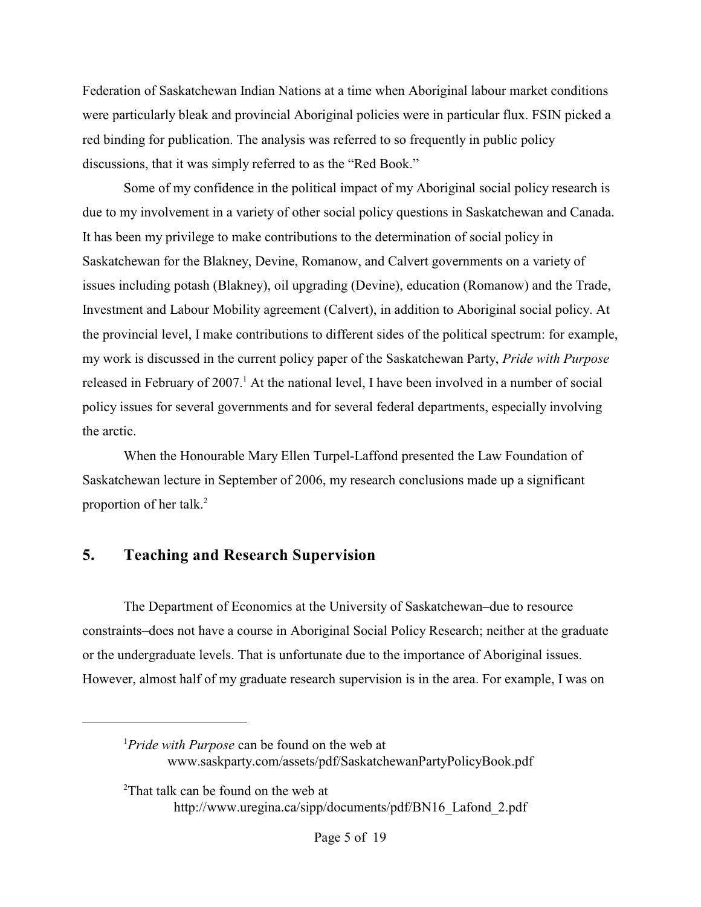Federation of Saskatchewan Indian Nations at a time when Aboriginal labour market conditions were particularly bleak and provincial Aboriginal policies were in particular flux. FSIN picked a red binding for publication. The analysis was referred to so frequently in public policy discussions, that it was simply referred to as the "Red Book."

Some of my confidence in the political impact of my Aboriginal social policy research is due to my involvement in a variety of other social policy questions in Saskatchewan and Canada. It has been my privilege to make contributions to the determination of social policy in Saskatchewan for the Blakney, Devine, Romanow, and Calvert governments on a variety of issues including potash (Blakney), oil upgrading (Devine), education (Romanow) and the Trade, Investment and Labour Mobility agreement (Calvert), in addition to Aboriginal social policy. At the provincial level, I make contributions to different sides of the political spectrum: for example, my work is discussed in the current policy paper of the Saskatchewan Party, *Pride with Purpose* released in February of  $2007<sup>1</sup>$  At the national level, I have been involved in a number of social policy issues for several governments and for several federal departments, especially involving the arctic.

When the Honourable Mary Ellen Turpel-Laffond presented the Law Foundation of Saskatchewan lecture in September of 2006, my research conclusions made up a significant proportion of her talk.<sup>2</sup>

## **5. Teaching and Research Supervision**

The Department of Economics at the University of Saskatchewan–due to resource constraints–does not have a course in Aboriginal Social Policy Research; neither at the graduate or the undergraduate levels. That is unfortunate due to the importance of Aboriginal issues. However, almost half of my graduate research supervision is in the area. For example, I was on

<sup>&</sup>lt;sup>1</sup>Pride with Purpose can be found on the web at www.saskparty.com/assets/pdf/SaskatchewanPartyPolicyBook.pdf

<sup>&</sup>lt;sup>2</sup>That talk can be found on the web at http://www.uregina.ca/sipp/documents/pdf/BN16\_Lafond\_2.pdf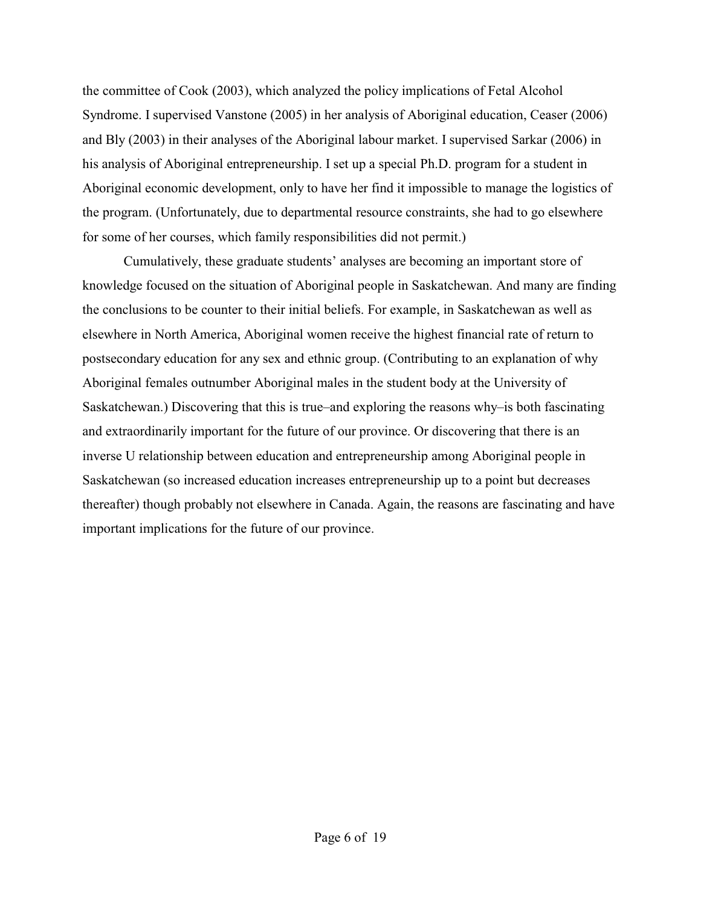the committee of Cook (2003), which analyzed the policy implications of Fetal Alcohol Syndrome. I supervised Vanstone (2005) in her analysis of Aboriginal education, Ceaser (2006) and Bly (2003) in their analyses of the Aboriginal labour market. I supervised Sarkar (2006) in his analysis of Aboriginal entrepreneurship. I set up a special Ph.D. program for a student in Aboriginal economic development, only to have her find it impossible to manage the logistics of the program. (Unfortunately, due to departmental resource constraints, she had to go elsewhere for some of her courses, which family responsibilities did not permit.)

Cumulatively, these graduate students' analyses are becoming an important store of knowledge focused on the situation of Aboriginal people in Saskatchewan. And many are finding the conclusions to be counter to their initial beliefs. For example, in Saskatchewan as well as elsewhere in North America, Aboriginal women receive the highest financial rate of return to postsecondary education for any sex and ethnic group. (Contributing to an explanation of why Aboriginal females outnumber Aboriginal males in the student body at the University of Saskatchewan.) Discovering that this is true–and exploring the reasons why–is both fascinating and extraordinarily important for the future of our province. Or discovering that there is an inverse U relationship between education and entrepreneurship among Aboriginal people in Saskatchewan (so increased education increases entrepreneurship up to a point but decreases thereafter) though probably not elsewhere in Canada. Again, the reasons are fascinating and have important implications for the future of our province.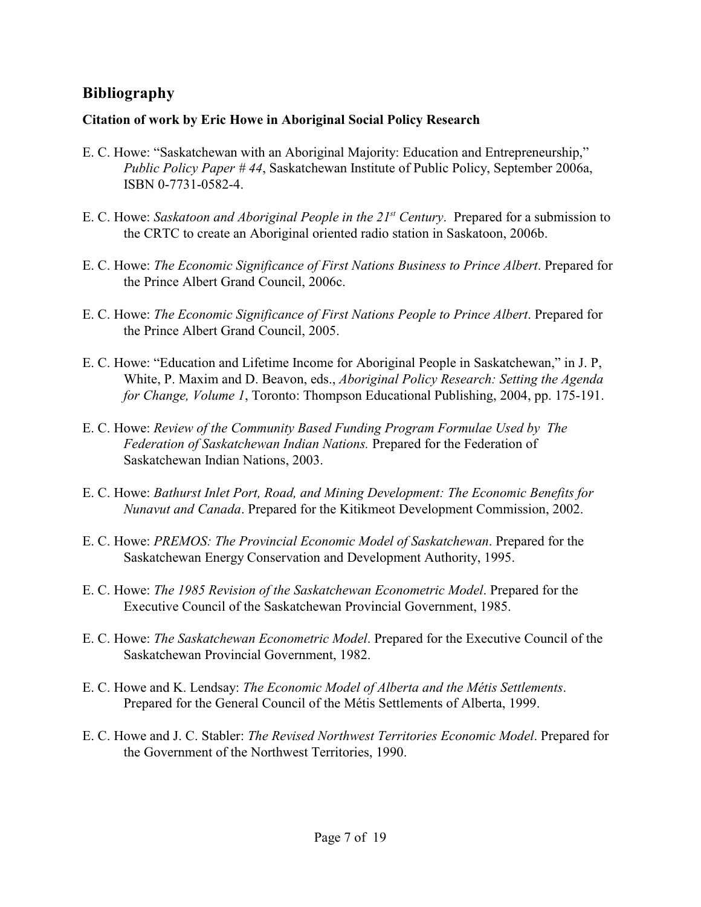## **Bibliography**

## **Citation of work by Eric Howe in Aboriginal Social Policy Research**

- E. C. Howe: "Saskatchewan with an Aboriginal Majority: Education and Entrepreneurship," *Public Policy Paper # 44*, Saskatchewan Institute of Public Policy, September 2006a, ISBN 0-7731-0582-4.
- E. C. Howe: *Saskatoon and Aboriginal People in the 21<sup>st</sup> Century*. Prepared for a submission to the CRTC to create an Aboriginal oriented radio station in Saskatoon, 2006b.
- E. C. Howe: *The Economic Significance of First Nations Business to Prince Albert*. Prepared for the Prince Albert Grand Council, 2006c.
- E. C. Howe: *The Economic Significance of First Nations People to Prince Albert*. Prepared for the Prince Albert Grand Council, 2005.
- E. C. Howe: "Education and Lifetime Income for Aboriginal People in Saskatchewan," in J. P, White, P. Maxim and D. Beavon, eds., *Aboriginal Policy Research: Setting the Agenda for Change, Volume 1*, Toronto: Thompson Educational Publishing, 2004, pp. 175-191.
- E. C. Howe: *Review of the Community Based Funding Program Formulae Used by The Federation of Saskatchewan Indian Nations.* Prepared for the Federation of Saskatchewan Indian Nations, 2003.
- E. C. Howe: *Bathurst Inlet Port, Road, and Mining Development: The Economic Benefits for Nunavut and Canada*. Prepared for the Kitikmeot Development Commission, 2002.
- E. C. Howe: *PREMOS: The Provincial Economic Model of Saskatchewan*. Prepared for the Saskatchewan Energy Conservation and Development Authority, 1995.
- E. C. Howe: *The 1985 Revision of the Saskatchewan Econometric Model*. Prepared for the Executive Council of the Saskatchewan Provincial Government, 1985.
- E. C. Howe: *The Saskatchewan Econometric Model*. Prepared for the Executive Council of the Saskatchewan Provincial Government, 1982.
- E. C. Howe and K. Lendsay: *The Economic Model of Alberta and the Métis Settlements*. Prepared for the General Council of the Métis Settlements of Alberta, 1999.
- E. C. Howe and J. C. Stabler: *The Revised Northwest Territories Economic Model*. Prepared for the Government of the Northwest Territories, 1990.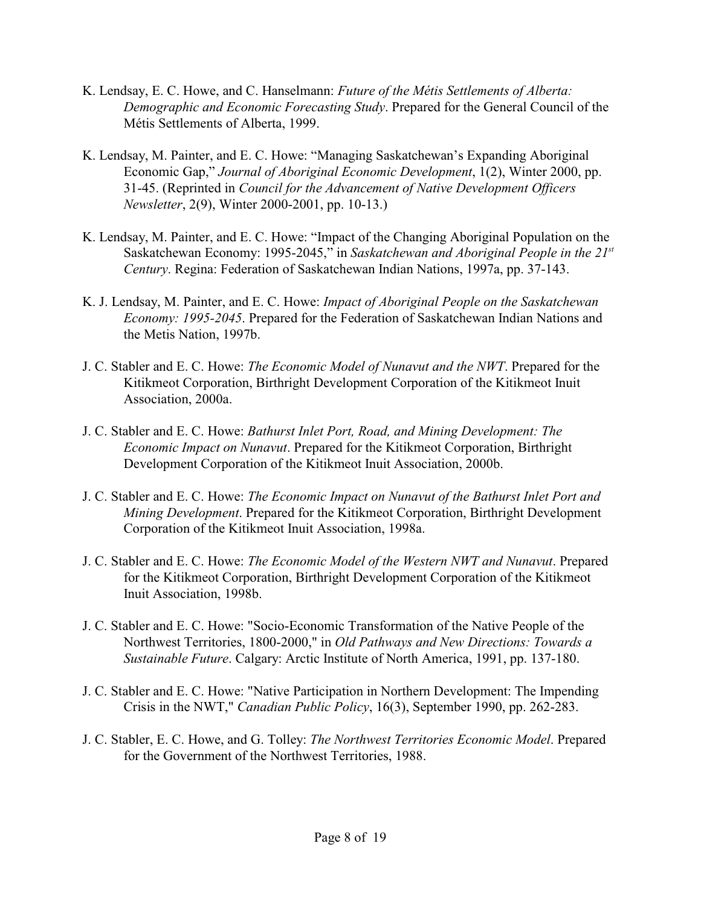- K. Lendsay, E. C. Howe, and C. Hanselmann: *Future of the Métis Settlements of Alberta: Demographic and Economic Forecasting Study*. Prepared for the General Council of the Métis Settlements of Alberta, 1999.
- K. Lendsay, M. Painter, and E. C. Howe: "Managing Saskatchewan's Expanding Aboriginal Economic Gap," *Journal of Aboriginal Economic Development*, 1(2), Winter 2000, pp. 31-45. (Reprinted in *Council for the Advancement of Native Development Officers Newsletter*, 2(9), Winter 2000-2001, pp. 10-13.)
- K. Lendsay, M. Painter, and E. C. Howe: "Impact of the Changing Aboriginal Population on the Saskatchewan Economy: 1995-2045," in *Saskatchewan and Aboriginal People in the 21st Century*. Regina: Federation of Saskatchewan Indian Nations, 1997a, pp. 37-143.
- K. J. Lendsay, M. Painter, and E. C. Howe: *Impact of Aboriginal People on the Saskatchewan Economy: 1995-2045*. Prepared for the Federation of Saskatchewan Indian Nations and the Metis Nation, 1997b.
- J. C. Stabler and E. C. Howe: *The Economic Model of Nunavut and the NWT*. Prepared for the Kitikmeot Corporation, Birthright Development Corporation of the Kitikmeot Inuit Association, 2000a.
- J. C. Stabler and E. C. Howe: *Bathurst Inlet Port, Road, and Mining Development: The Economic Impact on Nunavut*. Prepared for the Kitikmeot Corporation, Birthright Development Corporation of the Kitikmeot Inuit Association, 2000b.
- J. C. Stabler and E. C. Howe: *The Economic Impact on Nunavut of the Bathurst Inlet Port and Mining Development*. Prepared for the Kitikmeot Corporation, Birthright Development Corporation of the Kitikmeot Inuit Association, 1998a.
- J. C. Stabler and E. C. Howe: *The Economic Model of the Western NWT and Nunavut*. Prepared for the Kitikmeot Corporation, Birthright Development Corporation of the Kitikmeot Inuit Association, 1998b.
- J. C. Stabler and E. C. Howe: "Socio-Economic Transformation of the Native People of the Northwest Territories, 1800-2000," in *Old Pathways and New Directions: Towards a Sustainable Future*. Calgary: Arctic Institute of North America, 1991, pp. 137-180.
- J. C. Stabler and E. C. Howe: "Native Participation in Northern Development: The Impending Crisis in the NWT," *Canadian Public Policy*, 16(3), September 1990, pp. 262-283.
- J. C. Stabler, E. C. Howe, and G. Tolley: *The Northwest Territories Economic Model*. Prepared for the Government of the Northwest Territories, 1988.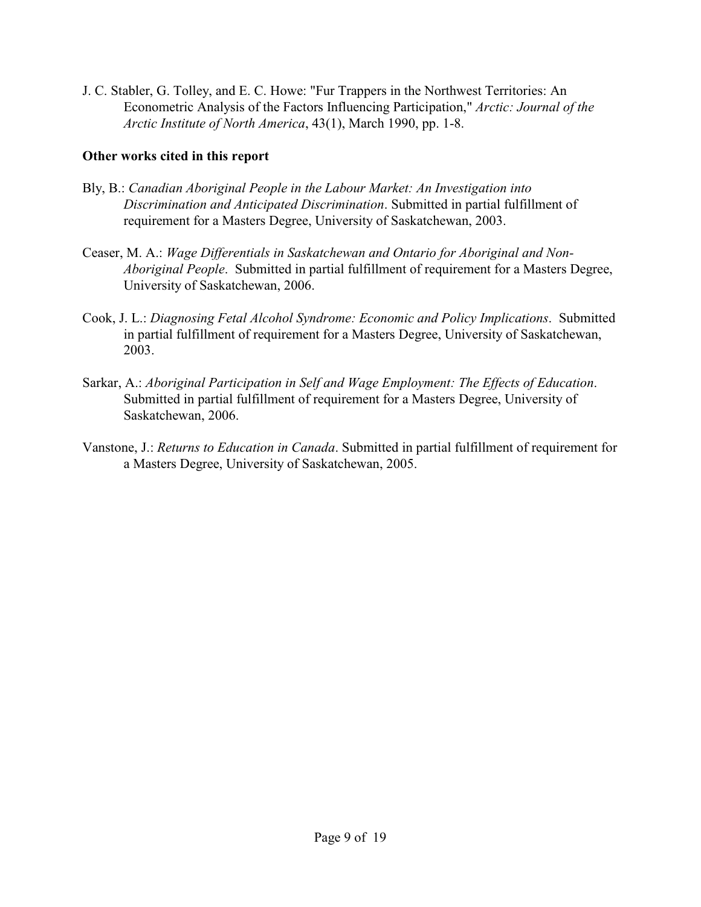J. C. Stabler, G. Tolley, and E. C. Howe: "Fur Trappers in the Northwest Territories: An Econometric Analysis of the Factors Influencing Participation," *Arctic: Journal of the Arctic Institute of North America*, 43(1), March 1990, pp. 1-8.

## **Other works cited in this report**

- Bly, B.: *Canadian Aboriginal People in the Labour Market: An Investigation into Discrimination and Anticipated Discrimination*. Submitted in partial fulfillment of requirement for a Masters Degree, University of Saskatchewan, 2003.
- Ceaser, M. A.: *Wage Differentials in Saskatchewan and Ontario for Aboriginal and Non-Aboriginal People*. Submitted in partial fulfillment of requirement for a Masters Degree, University of Saskatchewan, 2006.
- Cook, J. L.: *Diagnosing Fetal Alcohol Syndrome: Economic and Policy Implications*. Submitted in partial fulfillment of requirement for a Masters Degree, University of Saskatchewan, 2003.
- Sarkar, A.: *Aboriginal Participation in Self and Wage Employment: The Effects of Education*. Submitted in partial fulfillment of requirement for a Masters Degree, University of Saskatchewan, 2006.
- Vanstone, J.: *Returns to Education in Canada*. Submitted in partial fulfillment of requirement for a Masters Degree, University of Saskatchewan, 2005.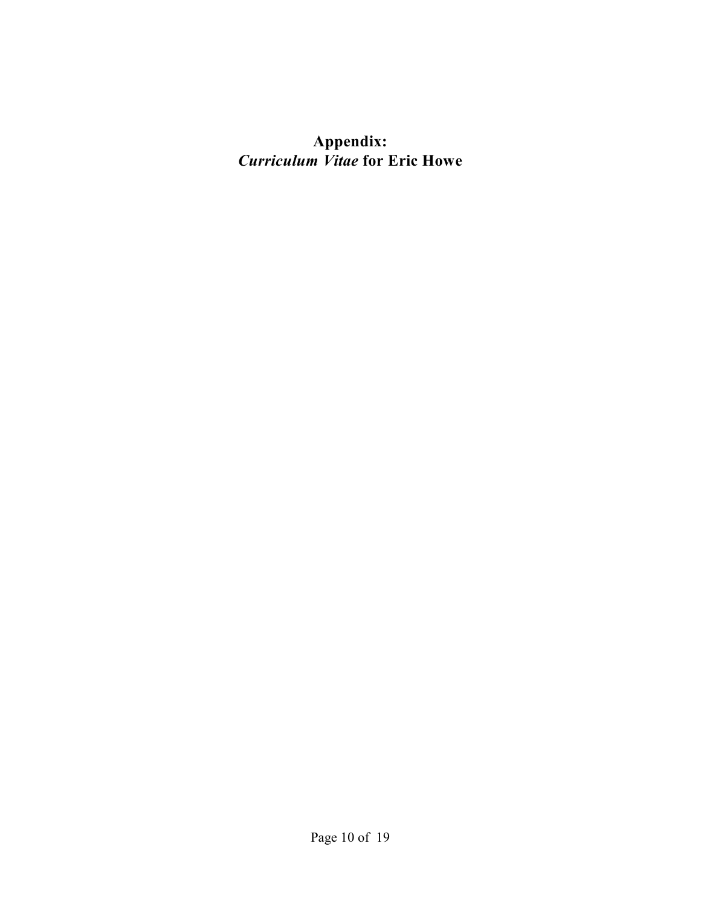# **Appendix:** *Curriculum Vitae* **for Eric Howe**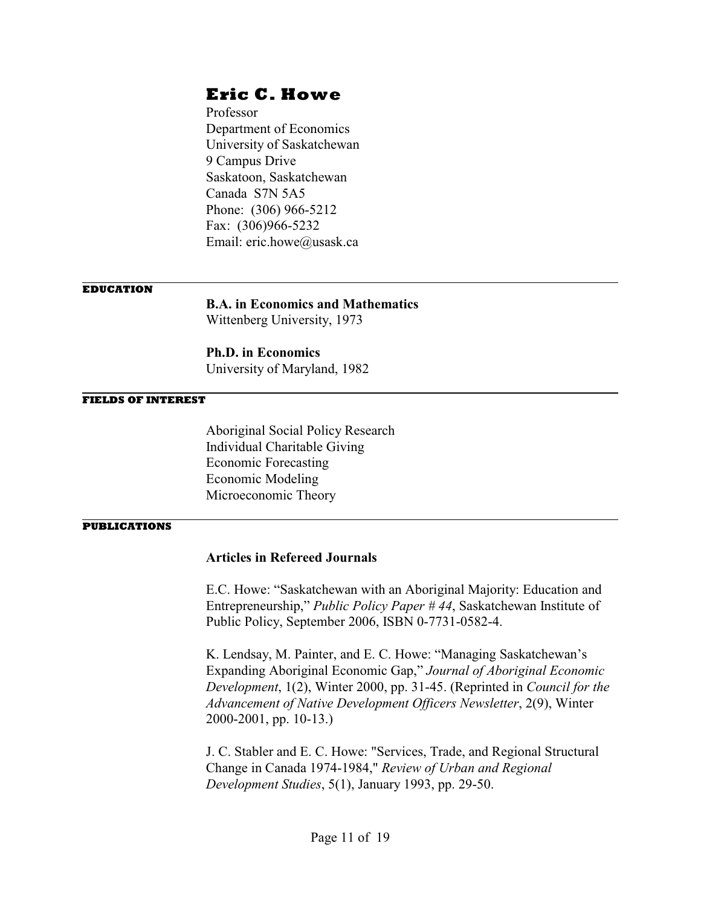Professor Department of Economics University of Saskatchewan 9 Campus Drive Saskatoon, Saskatchewan Canada S7N 5A5 Phone: (306) 966-5212 Fax: (306)966-5232 Email: eric.howe@usask.ca

#### **EDUCATION**

**B.A. in Economics and Mathematics**

Wittenberg University, 1973

**Ph.D. in Economics** University of Maryland, 1982

#### **FIELDS OF INTEREST**

Aboriginal Social Policy Research Individual Charitable Giving Economic Forecasting Economic Modeling Microeconomic Theory

#### **PUBLICATIONS**

### **Articles in Refereed Journals**

E.C. Howe: "Saskatchewan with an Aboriginal Majority: Education and Entrepreneurship," *Public Policy Paper # 44*, Saskatchewan Institute of Public Policy, September 2006, ISBN 0-7731-0582-4.

K. Lendsay, M. Painter, and E. C. Howe: "Managing Saskatchewan's Expanding Aboriginal Economic Gap," *Journal of Aboriginal Economic Development*, 1(2), Winter 2000, pp. 31-45. (Reprinted in *Council for the Advancement of Native Development Officers Newsletter*, 2(9), Winter 2000-2001, pp. 10-13.)

J. C. Stabler and E. C. Howe: "Services, Trade, and Regional Structural Change in Canada 1974-1984," *Review of Urban and Regional Development Studies*, 5(1), January 1993, pp. 29-50.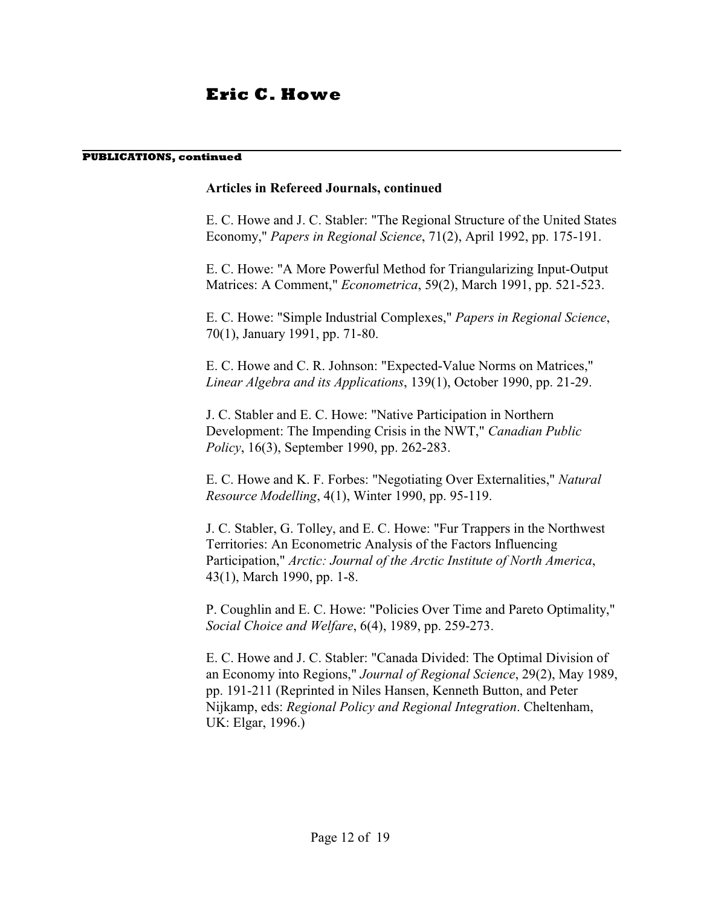#### **PUBLICATIONS, continued**

### **Articles in Refereed Journals, continued**

E. C. Howe and J. C. Stabler: "The Regional Structure of the United States Economy," *Papers in Regional Science*, 71(2), April 1992, pp. 175-191.

E. C. Howe: "A More Powerful Method for Triangularizing Input-Output Matrices: A Comment," *Econometrica*, 59(2), March 1991, pp. 521-523.

E. C. Howe: "Simple Industrial Complexes," *Papers in Regional Science*, 70(1), January 1991, pp. 71-80.

E. C. Howe and C. R. Johnson: "Expected-Value Norms on Matrices," *Linear Algebra and its Applications*, 139(1), October 1990, pp. 21-29.

J. C. Stabler and E. C. Howe: "Native Participation in Northern Development: The Impending Crisis in the NWT," *Canadian Public Policy*, 16(3), September 1990, pp. 262-283.

E. C. Howe and K. F. Forbes: "Negotiating Over Externalities," *Natural Resource Modelling*, 4(1), Winter 1990, pp. 95-119.

J. C. Stabler, G. Tolley, and E. C. Howe: "Fur Trappers in the Northwest Territories: An Econometric Analysis of the Factors Influencing Participation," *Arctic: Journal of the Arctic Institute of North America*, 43(1), March 1990, pp. 1-8.

P. Coughlin and E. C. Howe: "Policies Over Time and Pareto Optimality," *Social Choice and Welfare*, 6(4), 1989, pp. 259-273.

E. C. Howe and J. C. Stabler: "Canada Divided: The Optimal Division of an Economy into Regions," *Journal of Regional Science*, 29(2), May 1989, pp. 191-211 (Reprinted in Niles Hansen, Kenneth Button, and Peter Nijkamp, eds: *Regional Policy and Regional Integration*. Cheltenham, UK: Elgar, 1996.)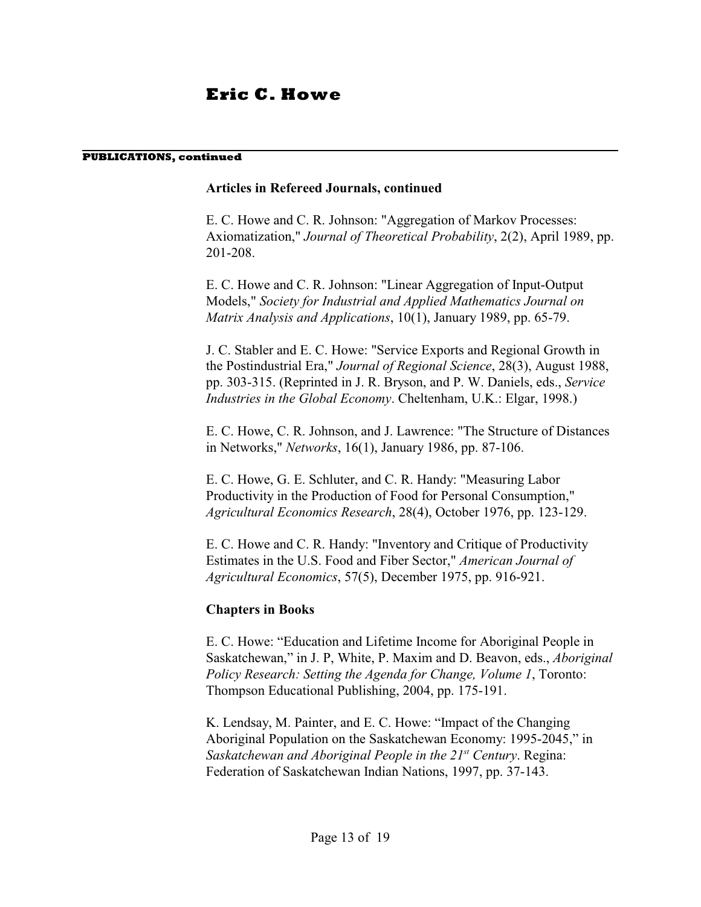#### **PUBLICATIONS, continued**

### **Articles in Refereed Journals, continued**

E. C. Howe and C. R. Johnson: "Aggregation of Markov Processes: Axiomatization," *Journal of Theoretical Probability*, 2(2), April 1989, pp. 201-208.

E. C. Howe and C. R. Johnson: "Linear Aggregation of Input-Output Models," *Society for Industrial and Applied Mathematics Journal on Matrix Analysis and Applications*, 10(1), January 1989, pp. 65-79.

J. C. Stabler and E. C. Howe: "Service Exports and Regional Growth in the Postindustrial Era," *Journal of Regional Science*, 28(3), August 1988, pp. 303-315. (Reprinted in J. R. Bryson, and P. W. Daniels, eds., *Service Industries in the Global Economy*. Cheltenham, U.K.: Elgar, 1998.)

E. C. Howe, C. R. Johnson, and J. Lawrence: "The Structure of Distances in Networks," *Networks*, 16(1), January 1986, pp. 87-106.

E. C. Howe, G. E. Schluter, and C. R. Handy: "Measuring Labor Productivity in the Production of Food for Personal Consumption," *Agricultural Economics Research*, 28(4), October 1976, pp. 123-129.

E. C. Howe and C. R. Handy: "Inventory and Critique of Productivity Estimates in the U.S. Food and Fiber Sector," *American Journal of Agricultural Economics*, 57(5), December 1975, pp. 916-921.

### **Chapters in Books**

E. C. Howe: "Education and Lifetime Income for Aboriginal People in Saskatchewan," in J. P, White, P. Maxim and D. Beavon, eds., *Aboriginal Policy Research: Setting the Agenda for Change, Volume 1*, Toronto: Thompson Educational Publishing, 2004, pp. 175-191.

K. Lendsay, M. Painter, and E. C. Howe: "Impact of the Changing Aboriginal Population on the Saskatchewan Economy: 1995-2045," in *Saskatchewan and Aboriginal People in the 21<sup>st</sup> Century. Regina:* Federation of Saskatchewan Indian Nations, 1997, pp. 37-143.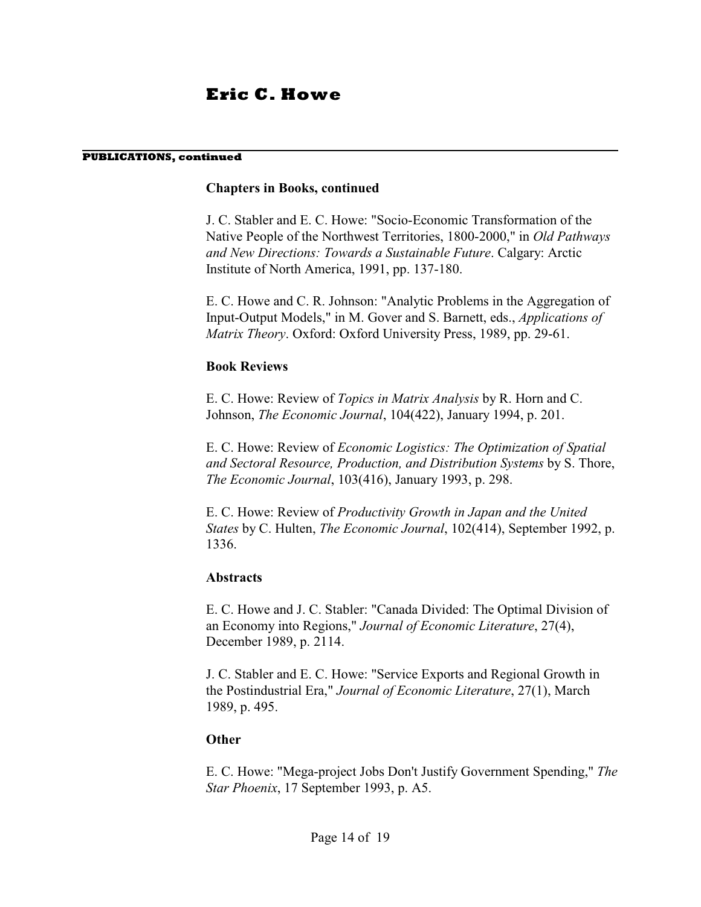#### **PUBLICATIONS, continued**

### **Chapters in Books, continued**

J. C. Stabler and E. C. Howe: "Socio-Economic Transformation of the Native People of the Northwest Territories, 1800-2000," in *Old Pathways and New Directions: Towards a Sustainable Future*. Calgary: Arctic Institute of North America, 1991, pp. 137-180.

E. C. Howe and C. R. Johnson: "Analytic Problems in the Aggregation of Input-Output Models," in M. Gover and S. Barnett, eds., *Applications of Matrix Theory*. Oxford: Oxford University Press, 1989, pp. 29-61.

### **Book Reviews**

E. C. Howe: Review of *Topics in Matrix Analysis* by R. Horn and C. Johnson, *The Economic Journal*, 104(422), January 1994, p. 201.

E. C. Howe: Review of *Economic Logistics: The Optimization of Spatial and Sectoral Resource, Production, and Distribution Systems* by S. Thore, *The Economic Journal*, 103(416), January 1993, p. 298.

E. C. Howe: Review of *Productivity Growth in Japan and the United States* by C. Hulten, *The Economic Journal*, 102(414), September 1992, p. 1336.

### **Abstracts**

E. C. Howe and J. C. Stabler: "Canada Divided: The Optimal Division of an Economy into Regions," *Journal of Economic Literature*, 27(4), December 1989, p. 2114.

J. C. Stabler and E. C. Howe: "Service Exports and Regional Growth in the Postindustrial Era," *Journal of Economic Literature*, 27(1), March 1989, p. 495.

### **Other**

E. C. Howe: "Mega-project Jobs Don't Justify Government Spending," *The Star Phoenix*, 17 September 1993, p. A5.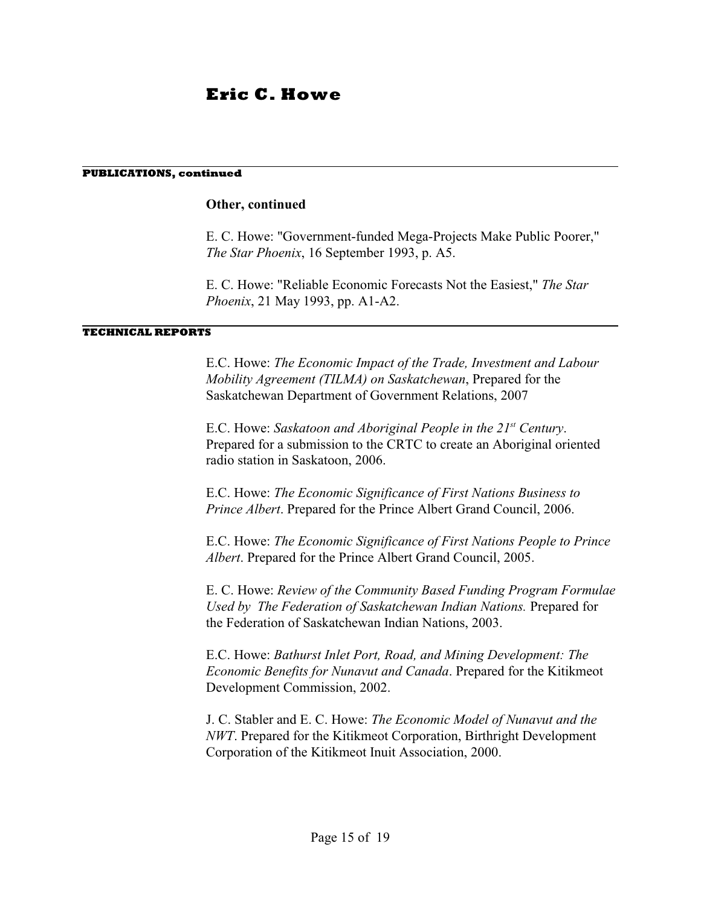#### **PUBLICATIONS, continued**

### **Other, continued**

E. C. Howe: "Government-funded Mega-Projects Make Public Poorer," *The Star Phoenix*, 16 September 1993, p. A5.

E. C. Howe: "Reliable Economic Forecasts Not the Easiest," *The Star Phoenix*, 21 May 1993, pp. A1-A2.

#### **TECHNICAL REPORTS**

E.C. Howe: *The Economic Impact of the Trade, Investment and Labour Mobility Agreement (TILMA) on Saskatchewan*, Prepared for the Saskatchewan Department of Government Relations, 2007

E.C. Howe: Saskatoon and Aboriginal People in the 21<sup>st</sup> Century. Prepared for a submission to the CRTC to create an Aboriginal oriented radio station in Saskatoon, 2006.

E.C. Howe: *The Economic Significance of First Nations Business to Prince Albert*. Prepared for the Prince Albert Grand Council, 2006.

E.C. Howe: *The Economic Significance of First Nations People to Prince Albert*. Prepared for the Prince Albert Grand Council, 2005.

E. C. Howe: *Review of the Community Based Funding Program Formulae Used by The Federation of Saskatchewan Indian Nations.* Prepared for the Federation of Saskatchewan Indian Nations, 2003.

E.C. Howe: *Bathurst Inlet Port, Road, and Mining Development: The Economic Benefits for Nunavut and Canada*. Prepared for the Kitikmeot Development Commission, 2002.

J. C. Stabler and E. C. Howe: *The Economic Model of Nunavut and the NWT*. Prepared for the Kitikmeot Corporation, Birthright Development Corporation of the Kitikmeot Inuit Association, 2000.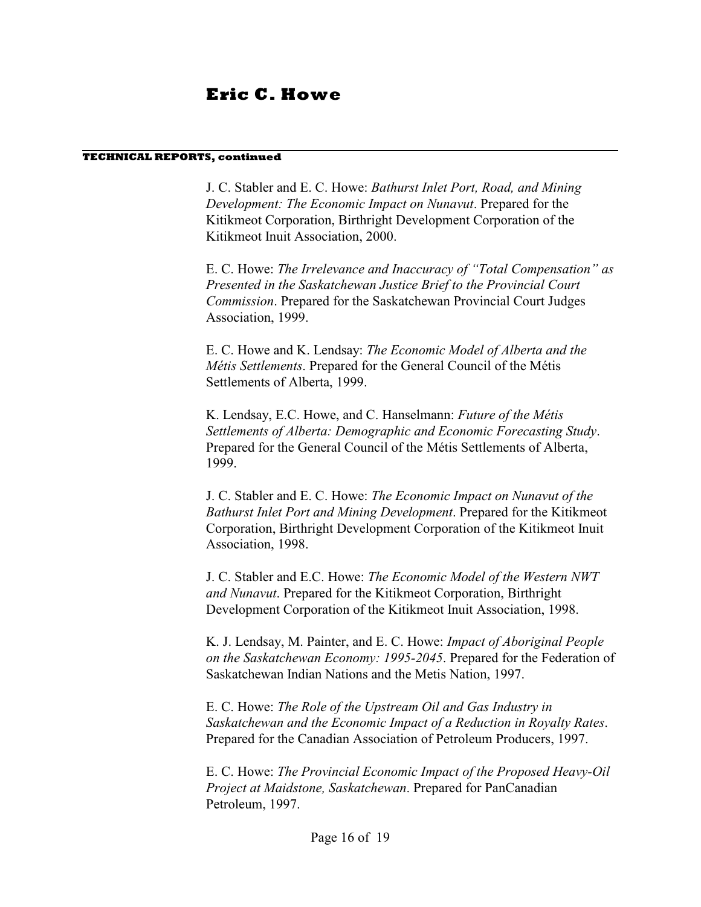#### **TECHNICAL REPORTS, continued**

J. C. Stabler and E. C. Howe: *Bathurst Inlet Port, Road, and Mining Development: The Economic Impact on Nunavut*. Prepared for the Kitikmeot Corporation, Birthright Development Corporation of the Kitikmeot Inuit Association, 2000.

E. C. Howe: *The Irrelevance and Inaccuracy of "Total Compensation" as Presented in the Saskatchewan Justice Brief to the Provincial Court Commission*. Prepared for the Saskatchewan Provincial Court Judges Association, 1999.

E. C. Howe and K. Lendsay: *The Economic Model of Alberta and the Métis Settlements*. Prepared for the General Council of the Métis Settlements of Alberta, 1999.

K. Lendsay, E.C. Howe, and C. Hanselmann: *Future of the Métis Settlements of Alberta: Demographic and Economic Forecasting Study*. Prepared for the General Council of the Métis Settlements of Alberta, 1999.

J. C. Stabler and E. C. Howe: *The Economic Impact on Nunavut of the Bathurst Inlet Port and Mining Development*. Prepared for the Kitikmeot Corporation, Birthright Development Corporation of the Kitikmeot Inuit Association, 1998.

J. C. Stabler and E.C. Howe: *The Economic Model of the Western NWT and Nunavut*. Prepared for the Kitikmeot Corporation, Birthright Development Corporation of the Kitikmeot Inuit Association, 1998.

K. J. Lendsay, M. Painter, and E. C. Howe: *Impact of Aboriginal People on the Saskatchewan Economy: 1995-2045*. Prepared for the Federation of Saskatchewan Indian Nations and the Metis Nation, 1997.

E. C. Howe: *The Role of the Upstream Oil and Gas Industry in Saskatchewan and the Economic Impact of a Reduction in Royalty Rates*. Prepared for the Canadian Association of Petroleum Producers, 1997.

E. C. Howe: *The Provincial Economic Impact of the Proposed Heavy-Oil Project at Maidstone, Saskatchewan*. Prepared for PanCanadian Petroleum, 1997.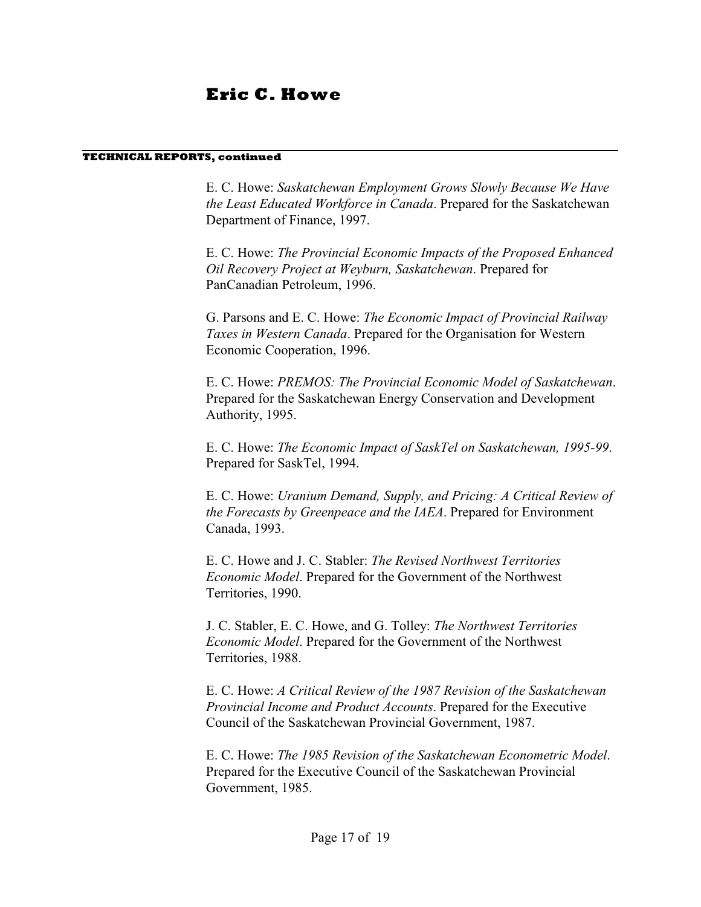#### **TECHNICAL REPORTS, continued**

E. C. Howe: *Saskatchewan Employment Grows Slowly Because We Have the Least Educated Workforce in Canada*. Prepared for the Saskatchewan Department of Finance, 1997.

E. C. Howe: *The Provincial Economic Impacts of the Proposed Enhanced Oil Recovery Project at Weyburn, Saskatchewan*. Prepared for PanCanadian Petroleum, 1996.

G. Parsons and E. C. Howe: *The Economic Impact of Provincial Railway Taxes in Western Canada*. Prepared for the Organisation for Western Economic Cooperation, 1996.

E. C. Howe: *PREMOS: The Provincial Economic Model of Saskatchewan*. Prepared for the Saskatchewan Energy Conservation and Development Authority, 1995.

E. C. Howe: *The Economic Impact of SaskTel on Saskatchewan, 1995-99*. Prepared for SaskTel, 1994.

E. C. Howe: *Uranium Demand, Supply, and Pricing: A Critical Review of the Forecasts by Greenpeace and the IAEA*. Prepared for Environment Canada, 1993.

E. C. Howe and J. C. Stabler: *The Revised Northwest Territories Economic Model*. Prepared for the Government of the Northwest Territories, 1990.

J. C. Stabler, E. C. Howe, and G. Tolley: *The Northwest Territories Economic Model*. Prepared for the Government of the Northwest Territories, 1988.

E. C. Howe: *A Critical Review of the 1987 Revision of the Saskatchewan Provincial Income and Product Accounts*. Prepared for the Executive Council of the Saskatchewan Provincial Government, 1987.

E. C. Howe: *The 1985 Revision of the Saskatchewan Econometric Model*. Prepared for the Executive Council of the Saskatchewan Provincial Government, 1985.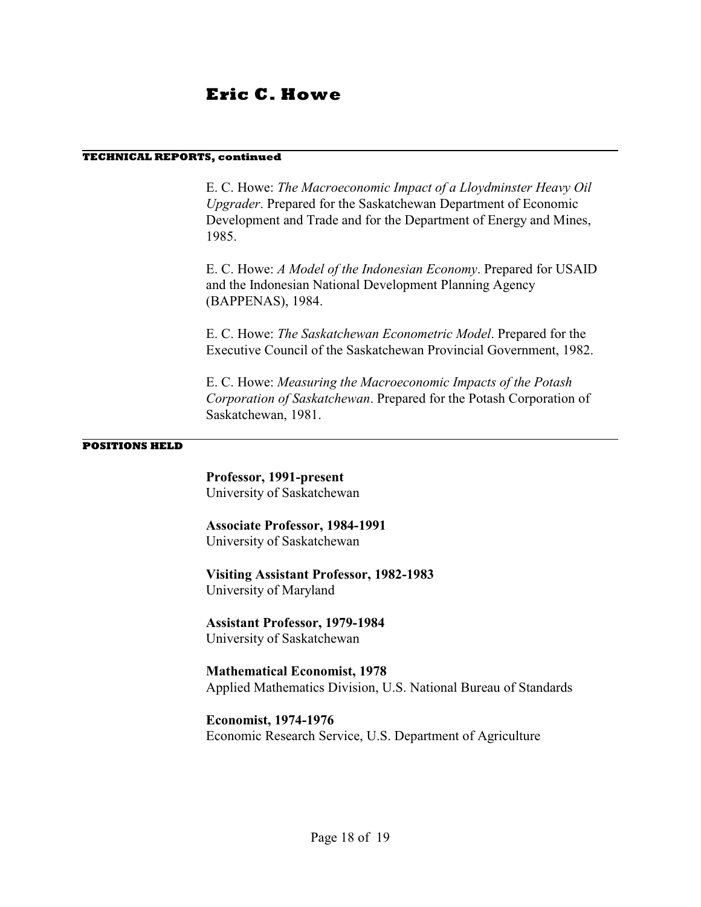#### **TECHNICAL REPORTS, continued**

E. C. Howe: *The Macroeconomic Impact of a Lloydminster Heavy Oil Upgrader*. Prepared for the Saskatchewan Department of Economic Development and Trade and for the Department of Energy and Mines, 1985.

E. C. Howe: *A Model of the Indonesian Economy*. Prepared for USAID and the Indonesian National Development Planning Agency (BAPPENAS), 1984.

E. C. Howe: *The Saskatchewan Econometric Model*. Prepared for the Executive Council of the Saskatchewan Provincial Government, 1982.

E. C. Howe: *Measuring the Macroeconomic Impacts of the Potash Corporation of Saskatchewan*. Prepared for the Potash Corporation of Saskatchewan, 1981.

#### **POSITIONS HELD**

**Professor, 1991-present** University of Saskatchewan

**Associate Professor, 1984-1991** University of Saskatchewan

**Visiting Assistant Professor, 1982-1983** University of Maryland

**Assistant Professor, 1979-1984** University of Saskatchewan

**Mathematical Economist, 1978** Applied Mathematics Division, U.S. National Bureau of Standards

**Economist, 1974-1976** Economic Research Service, U.S. Department of Agriculture